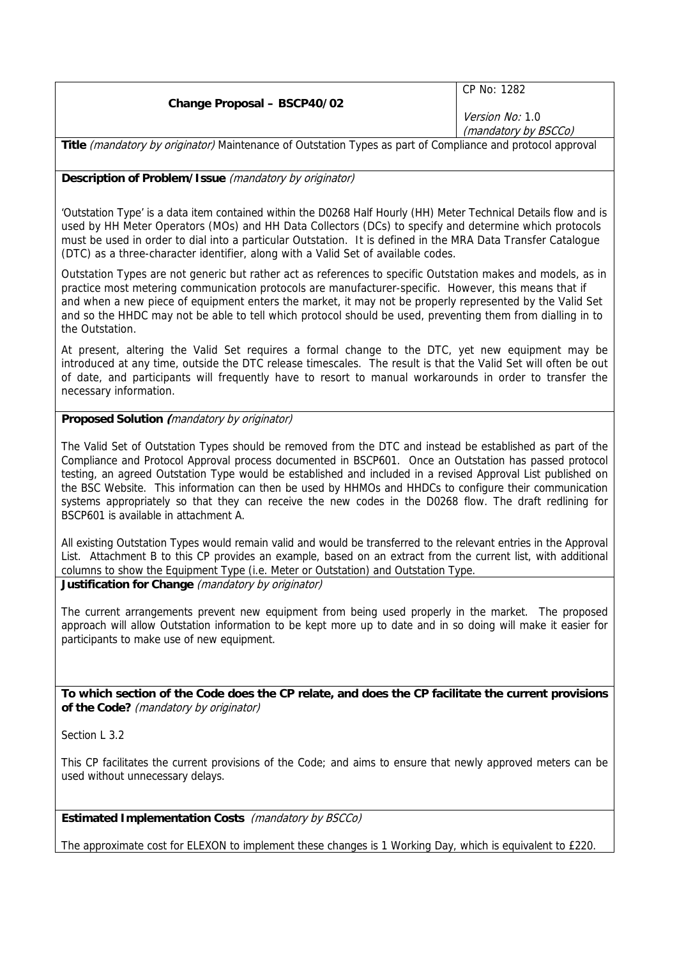|                                    | CP No: 1282            |
|------------------------------------|------------------------|
| <b>Change Proposal - BSCP40/02</b> |                        |
|                                    | <i>Version No:</i> 1.0 |
|                                    | (mandatory by BSCCo)   |
|                                    |                        |

**Title** (mandatory by originator) Maintenance of Outstation Types as part of Compliance and protocol approval

**Description of Problem/Issue** (mandatory by originator)

'Outstation Type' is a data item contained within the D0268 Half Hourly (HH) Meter Technical Details flow and is used by HH Meter Operators (MOs) and HH Data Collectors (DCs) to specify and determine which protocols must be used in order to dial into a particular Outstation. It is defined in the MRA Data Transfer Catalogue (DTC) as a three-character identifier, along with a Valid Set of available codes.

Outstation Types are not generic but rather act as references to specific Outstation makes and models, as in practice most metering communication protocols are manufacturer-specific. However, this means that if and when a new piece of equipment enters the market, it may not be properly represented by the Valid Set and so the HHDC may not be able to tell which protocol should be used, preventing them from dialling in to the Outstation.

At present, altering the Valid Set requires a formal change to the DTC, yet new equipment may be introduced at any time, outside the DTC release timescales. The result is that the Valid Set will often be out of date, and participants will frequently have to resort to manual workarounds in order to transfer the necessary information.

### **Proposed Solution (**mandatory by originator)

The Valid Set of Outstation Types should be removed from the DTC and instead be established as part of the Compliance and Protocol Approval process documented in BSCP601. Once an Outstation has passed protocol testing, an agreed Outstation Type would be established and included in a revised Approval List published on the BSC Website. This information can then be used by HHMOs and HHDCs to configure their communication systems appropriately so that they can receive the new codes in the D0268 flow. The draft redlining for BSCP601 is available in attachment A.

All existing Outstation Types would remain valid and would be transferred to the relevant entries in the Approval List. Attachment B to this CP provides an example, based on an extract from the current list, with additional columns to show the Equipment Type (i.e. Meter or Outstation) and Outstation Type. **Justification for Change** (mandatory by originator)

The current arrangements prevent new equipment from being used properly in the market. The proposed approach will allow Outstation information to be kept more up to date and in so doing will make it easier for participants to make use of new equipment.

**To which section of the Code does the CP relate, and does the CP facilitate the current provisions of the Code?** (mandatory by originator)

Section L 3.2

This CP facilitates the current provisions of the Code; and aims to ensure that newly approved meters can be used without unnecessary delays.

**Estimated Implementation Costs** (mandatory by BSCCo)

The approximate cost for ELEXON to implement these changes is 1 Working Day, which is equivalent to £220.